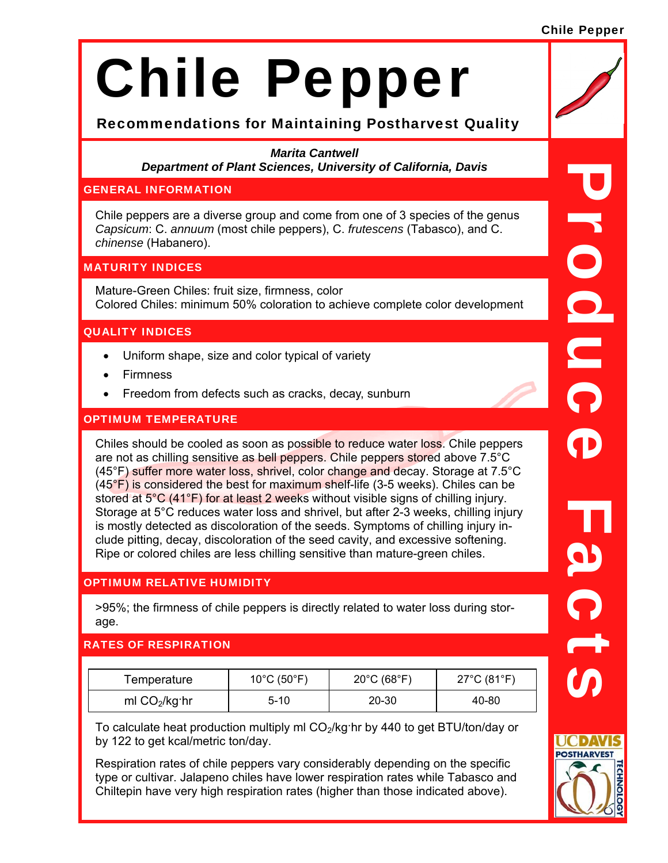#### Chile Pepper

# Chile Pepper

# Recommendations for Maintaining Postharvest Quality

*Marita Cantwell Department of Plant Sciences, University of California, Davis* 

#### GENERAL INFORMATION

Chile peppers are a diverse group and come from one of 3 species of the genus *Capsicum*: C. *annuum* (most chile peppers), C. *frutescens* (Tabasco), and C. *chinense* (Habanero).

# MATURITY INDICES

Mature-Green Chiles: fruit size, firmness, color Colored Chiles: minimum 50% coloration to achieve complete color development

# QUALITY INDICES

- Uniform shape, size and color typical of variety
- Firmness
- Freedom from defects such as cracks, decay, sunburn

# OPTIMUM TEMPERATURE

Chiles should be cooled as soon as possible to reduce water loss. Chile peppers are not as chilling sensitive as bell peppers. Chile peppers stored above 7.5°C (45°F) suffer more water loss, shrivel, color change and decay. Storage at 7.5°C  $(45<sup>°</sup>F)$  is considered the best for maximum shelf-life (3-5 weeks). Chiles can be stored at 5°C (41°F) for at least 2 weeks without visible signs of chilling injury. Storage at 5°C reduces water loss and shrivel, but after 2-3 weeks, chilling injury is mostly detected as discoloration of the seeds. Symptoms of chilling injury include pitting, decay, discoloration of the seed cavity, and excessive softening. Ripe or colored chiles are less chilling sensitive than mature-green chiles.

#### OPTIMUM RELATIVE HUMIDITY

>95%; the firmness of chile peppers is directly related to water loss during storage.

# RATES OF RESPIRATION

| Femperature     | 10°C (50°F) | $20^{\circ}$ C (68 $^{\circ}$ F) | $27^{\circ}$ C (81 $^{\circ}$ F) |
|-----------------|-------------|----------------------------------|----------------------------------|
| ml $CO2/kg$ ·hr | 5-10        | 20-30                            | 40-80                            |

To calculate heat production multiply ml  $CO<sub>2</sub>/kg$ ·hr by 440 to get BTU/ton/day or by 122 to get kcal/metric ton/day.

Respiration rates of chile peppers vary considerably depending on the specific type or cultivar. Jalapeno chiles have lower respiration rates while Tabasco and Chiltepin have very high respiration rates (higher than those indicated above).

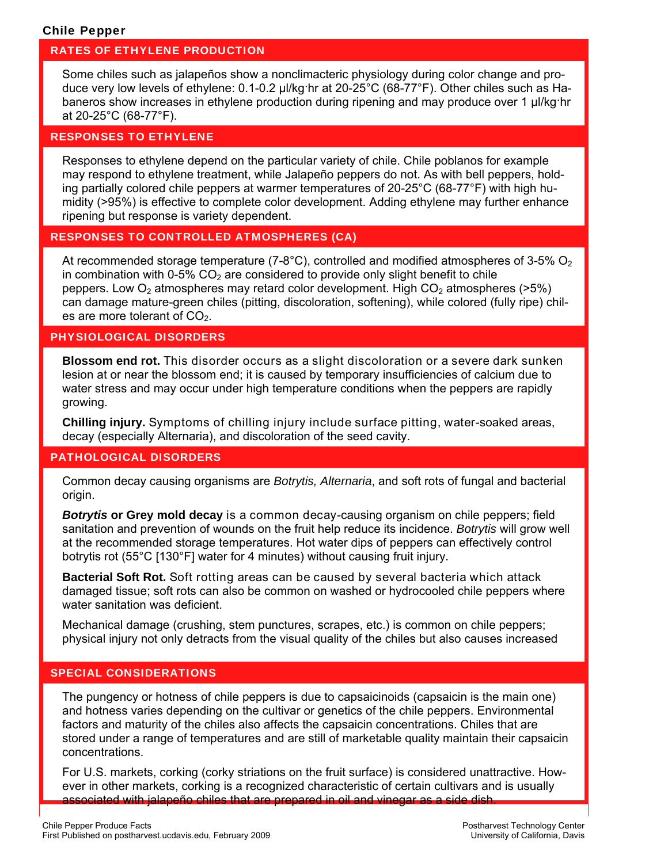#### Chile Pepper

#### RATES OF ETHYLENE PRODUCTION

Some chiles such as jalapeños show a nonclimacteric physiology during color change and produce very low levels of ethylene: 0.1-0.2 µl/kg·hr at 20-25°C (68-77°F). Other chiles such as Habaneros show increases in ethylene production during ripening and may produce over 1 µl/kg·hr at 20-25°C (68-77°F).

#### RESPONSES TO ETHYLENE

Responses to ethylene depend on the particular variety of chile. Chile poblanos for example may respond to ethylene treatment, while Jalapeño peppers do not. As with bell peppers, holding partially colored chile peppers at warmer temperatures of 20-25°C (68-77°F) with high humidity (>95%) is effective to complete color development. Adding ethylene may further enhance ripening but response is variety dependent.

#### RESPONSES TO CONTROLLED ATMOSPHERES (CA)

At recommended storage temperature (7-8°C), controlled and modified atmospheres of 3-5%  $O<sub>2</sub>$ in combination with 0-5%  $CO<sub>2</sub>$  are considered to provide only slight benefit to chile peppers. Low  $O<sub>2</sub>$  atmospheres may retard color development. High  $CO<sub>2</sub>$  atmospheres (>5%) can damage mature-green chiles (pitting, discoloration, softening), while colored (fully ripe) chiles are more tolerant of  $CO<sub>2</sub>$ .

# PHYSIOLOGICAL DISORDERS

**Blossom end rot.** This disorder occurs as a slight discoloration or a severe dark sunken lesion at or near the blossom end; it is caused by temporary insufficiencies of calcium due to water stress and may occur under high temperature conditions when the peppers are rapidly growing.

**Chilling injury.** Symptoms of chilling injury include surface pitting, water-soaked areas, decay (especially Alternaria), and discoloration of the seed cavity.

#### PATHOLOGICAL DISORDERS

Common decay causing organisms are *Botrytis, Alternaria*, and soft rots of fungal and bacterial origin.

*Botrytis* **or Grey mold decay** is a common decay-causing organism on chile peppers; field sanitation and prevention of wounds on the fruit help reduce its incidence. *Botrytis* will grow well at the recommended storage temperatures. Hot water dips of peppers can effectively control botrytis rot (55°C [130°F] water for 4 minutes) without causing fruit injury.

**Bacterial Soft Rot.** Soft rotting areas can be caused by several bacteria which attack damaged tissue; soft rots can also be common on washed or hydrocooled chile peppers where water sanitation was deficient.

Mechanical damage (crushing, stem punctures, scrapes, etc.) is common on chile peppers; physical injury not only detracts from the visual quality of the chiles but also causes increased

#### SPECIAL CONSIDERATIONS

The pungency or hotness of chile peppers is due to capsaicinoids (capsaicin is the main one) and hotness varies depending on the cultivar or genetics of the chile peppers. Environmental factors and maturity of the chiles also affects the capsaicin concentrations. Chiles that are stored under a range of temperatures and are still of marketable quality maintain their capsaicin concentrations.

For U.S. markets, corking (corky striations on the fruit surface) is considered unattractive. However in other markets, corking is a recognized characteristic of certain cultivars and is usually associated with jalapeño chiles that are prepared in oil and vinegar as a side dish.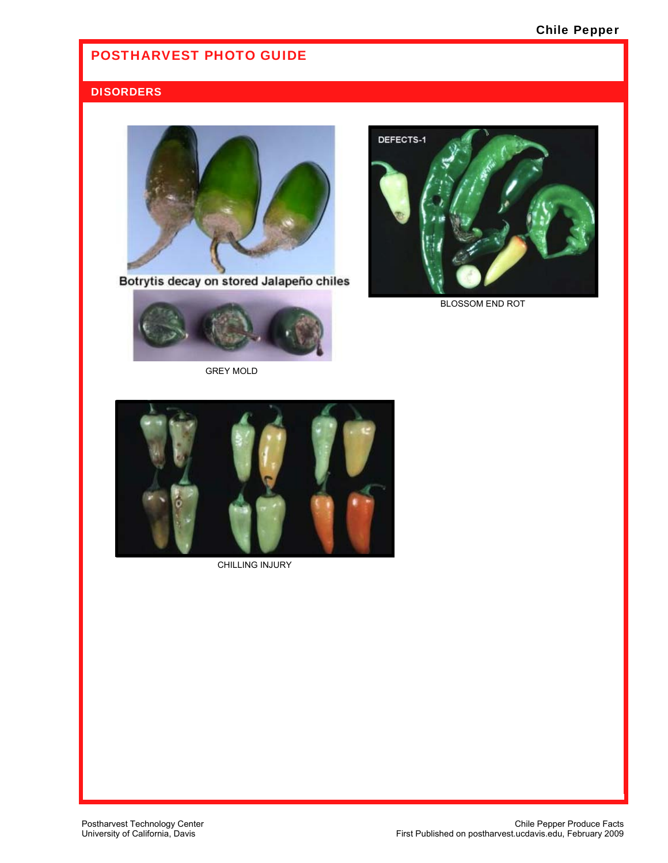# POSTHARVEST PHOTO GUIDE

# **DISORDERS**



Botrytis decay on stored Jalapeño chiles



GREY MOLD



BLOSSOM END ROT



CHILLING INJURY